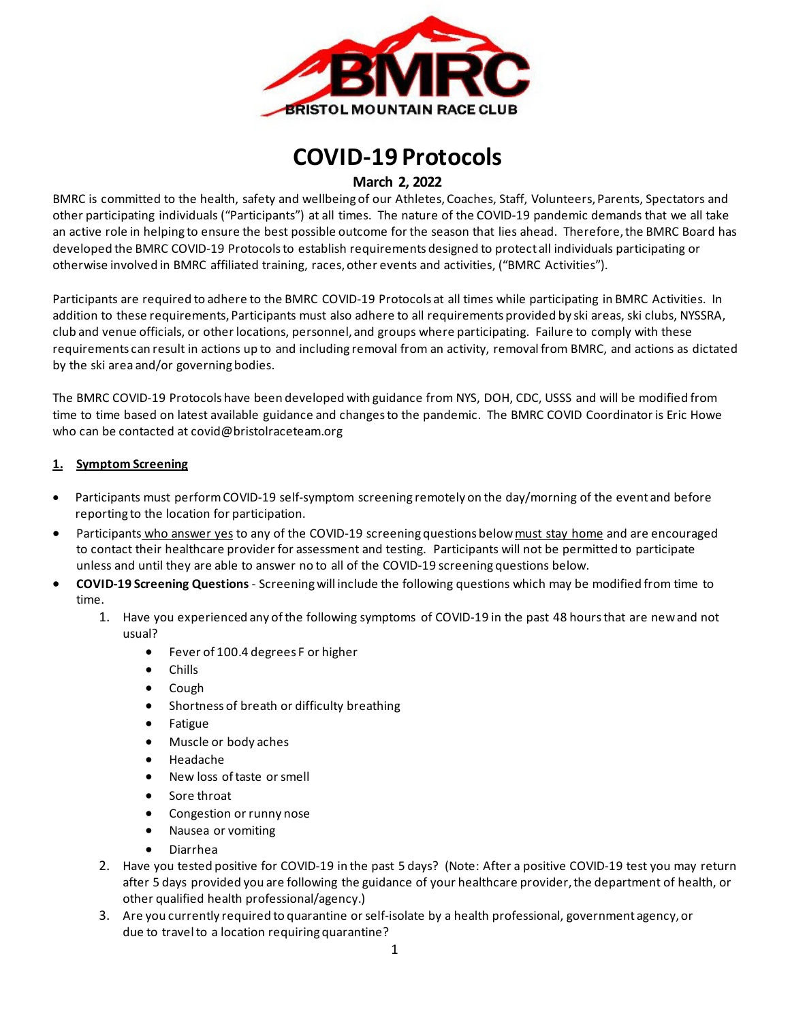

# **COVID-19 Protocols**

## **March 2, 2022**

BMRC is committed to the health, safety and wellbeing of our Athletes, Coaches, Staff, Volunteers, Parents, Spectators and other participating individuals ("Participants") at all times. The nature of the COVID-19 pandemic demands that we all take an active role in helping to ensure the best possible outcome for the season that lies ahead. Therefore, the BMRC Board has developed the BMRC COVID-19 Protocols to establish requirements designed to protect all individuals participating or otherwise involved in BMRC affiliated training, races, other events and activities, ("BMRC Activities").

Participants are required to adhere to the BMRC COVID-19 Protocols at all times while participating in BMRC Activities. In addition to these requirements, Participants must also adhere to all requirements provided by ski areas, ski clubs, NYSSRA, club and venue officials, or other locations, personnel, and groups where participating. Failure to comply with these requirements can result in actions up to and including removal from an activity, removal from BMRC, and actions as dictated by the ski area and/or governing bodies.

The BMRC COVID-19 Protocols have been developed with guidance from NYS, DOH, CDC, USSS and will be modified from time to time based on latest available guidance and changes to the pandemic. The BMRC COVID Coordinator is Eric Howe who can be contacted at [covid@bristolraceteam.org](mailto:covid@bristolraceteam.org)

#### **1. Symptom Screening**

- Participants must perform COVID-19 self-symptom screening remotely on the day/morning of the event and before reporting to the location for participation.
- Participants who answer yes to any of the COVID-19 screening questions below must stay home and are encouraged to contact their healthcare provider for assessment and testing. Participants will not be permitted to participate unless and until they are able to answer no to all of the COVID-19 screening questions below.
- **COVID-19 Screening Questions**  Screening will include the following questions which may be modified from time to time.
	- 1. Have you experienced any of the following symptoms of COVID-19 in the past 48 hoursthat are new and not usual?
		- Fever of 100.4 degrees F or higher
		- Chills
		- Cough
		- Shortness of breath or difficulty breathing
		- Fatigue
		- Muscle or body aches
		- Headache
		- New loss of taste or smell
		- Sore throat
		- Congestion or runny nose
		- Nausea or vomiting
		- Diarrhea
	- 2. Have you tested positive for COVID-19 in the past 5 days? (Note: After a positive COVID-19 test you may return after 5 days provided you are following the guidance of your healthcare provider, the department of health, or other qualified health professional/agency.)
	- 3. Are you currently required to quarantine or self-isolate by a health professional, government agency, or due to travel to a location requiring quarantine?